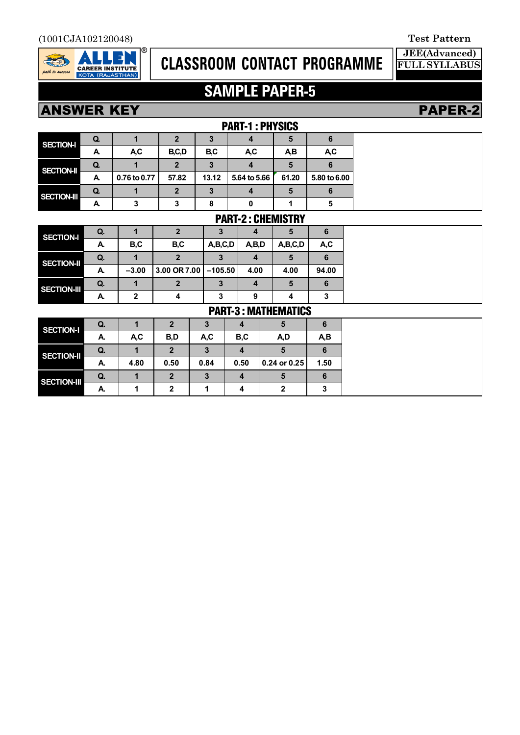

# **CLASSROOM CONTACT PROGRAMME**

**JEE(Advanced) FULL SYLLABUS**

# **SAMPLE PAPER-5**

## **ANSWER KEY PAPER-2**

|                  |    |              | <b>PART-1 : PHYSICS</b> |       |              |       |                  |
|------------------|----|--------------|-------------------------|-------|--------------|-------|------------------|
| <b>SECTION-I</b> | Q. |              |                         |       |              |       |                  |
|                  | A. | A.C          | B,C,D                   | B,C   | <b>AC</b>    | AВ    | A <sub>,</sub> C |
| SECTION-II       | Q. |              | 2                       |       |              |       |                  |
|                  | A  | 0.76 to 0.77 | 57.82                   | 13.12 | 5.64 to 5.66 | 61.20 | 5.80 to 6.00     |
| SECTION-III      | Q. |              |                         | 3     |              |       |                  |
|                  |    |              |                         | 8     |              |       | O                |

### PART-2 : CHEMISTRY

| <b>SECTION-I</b>   | Q. |         | כי           |           |       | C       | 6     |
|--------------------|----|---------|--------------|-----------|-------|---------|-------|
|                    | Α. | B,C     | B,C          | A,B,C,D   | A,B,D | A,B,C,D | A,C   |
| <b>SECTION-II</b>  | Q. |         |              |           |       |         |       |
|                    | А. | $-3.00$ | 3.00 OR 7.00 | $-105.50$ | 4.00  | 4.00    | 94.00 |
| <b>SECTION-III</b> | Q. |         |              | 3         |       | 5       | 6     |
|                    | А. | 2       |              | 3         | 9     |         | 3     |

### PART-3 : MATHEMATICS

| <b>SECTION-I</b>   | Q.        |      | $\overline{2}$ | 3    |      | 5            | 6    |
|--------------------|-----------|------|----------------|------|------|--------------|------|
|                    | А.        | A,C  | B,D            | A,C  | B,C  | A,D          | A,B  |
| <b>SECTION-II</b>  | <b>Q.</b> |      | 2              | 3    |      |              |      |
|                    | А.        | 4.80 | 0.50           | 0.84 | 0.50 | 0.24 or 0.25 | 1.50 |
| <b>SECTION-III</b> | Q.        |      | 2              | 3    |      |              | 6    |
|                    | Α.        |      | ⌒              |      |      |              |      |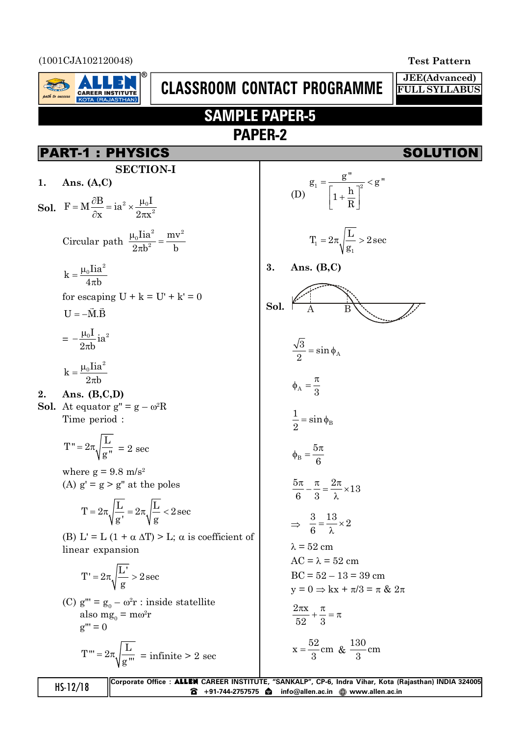(1001CJA102120048) **Test Pattern**

 $_{\mu}$  ath to success

**JEE(Advanced) FULL SYLLABUS**

# **SAMPLE PAPER-5 PAPER-2**

**CLASSROOM CONTACT PROGRAMME**

## PART-1 : PHYSICS SOLUTION

**CAREER INSTITUTE** 

**SECTION-I 1. Ans. (A,C)**

**Sol.** 
$$
F = M \frac{\partial B}{\partial x} = ia^2 \times \frac{\mu_0 I}{2\pi x^2}
$$
  
\nCircular path  $\frac{\mu_0 Iia^2}{2\pi b^2} = \frac{mv^2}{b}$ 

$$
k = \frac{\mu_0 I i a^2}{4\pi b}
$$

for escaping  $U + k = U' + k' = 0$ 

$$
U=-\vec{M}.\vec{B}
$$

$$
= -\frac{\mu_0 I}{2\pi b}ia^2
$$

$$
k=\frac{\mu_0 I i a^2}{2\pi b}
$$

$$
2. \quad \text{Ans. (B,C,D)}
$$

**Sol.** At equator  $g'' = g - \omega^2 R$ Time period :

$$
T" = 2\pi \sqrt{\frac{L}{g"}} = 2 \text{ sec}
$$

where  $g = 9.8$  m/s<sup>2</sup> (A)  $g' = g > g''$  at the poles

$$
T=2\pi\sqrt{\frac{L}{g'}}=2\pi\sqrt{\frac{L}{g}}<2\sec
$$

(B) L' = L (1 +  $\alpha \Delta T$ ) > L;  $\alpha$  is coefficient of linear expansion

$$
T'=2\pi\sqrt{\frac{L'}{g}}>2\sec
$$

(C)  $g''' = g_0 - \omega^2 r$  : inside statellite also mg<sub>0</sub> = m $\omega$ <sup>2</sup>r  $g''' = 0$ 

$$
T''' = 2\pi \sqrt{\frac{L}{g''}} = \text{infinite} > 2 \text{ sec}
$$

(D)
$$
g_1 = \frac{g''}{\left[1 + \frac{h}{R}\right]^2} < g''
$$

$$
T_1 = 2\pi \sqrt{\frac{L}{g_1}} > 2 \sec
$$

**3. Ans. (B,C)**

$$
Sol. \overbrace{A \qquad B}
$$

$$
\frac{\sqrt{3}}{2} = \sin \phi_A
$$

$$
\phi_A = \frac{\pi}{3}
$$

$$
\frac{1}{2} = \sin \phi_B
$$

$$
\phi_{\rm B}=\frac{5\pi}{6}
$$

$$
\frac{5\pi}{6} - \frac{\pi}{3} = \frac{2\pi}{\lambda} \times 13
$$

$$
\Rightarrow \frac{3}{6} = \frac{13}{\lambda} \times 2
$$

$$
\lambda = 52 \text{ cm}
$$
  
AC =  $\lambda = 52 \text{ cm}$   
BC =  $52 - 13 = 39 \text{ cm}$ 

$$
y = 0 \Rightarrow kx + \pi/3 = \pi \& 2\pi
$$

$$
\frac{2\pi x}{52} + \frac{\pi}{3} = \pi
$$

$$
x = \frac{52}{3} \text{cm} \& \frac{130}{3} \text{cm}
$$

**HS-12/18** Corporate Office : **ALLEN** CAREER INSTITUTE, "SANKALP", CP-6, Indra Vihar, Kota (Rajasthan) INDIA 324005 **8** +91-744-2757575 **a** info@allen.ac.in @ www.allen.ac.in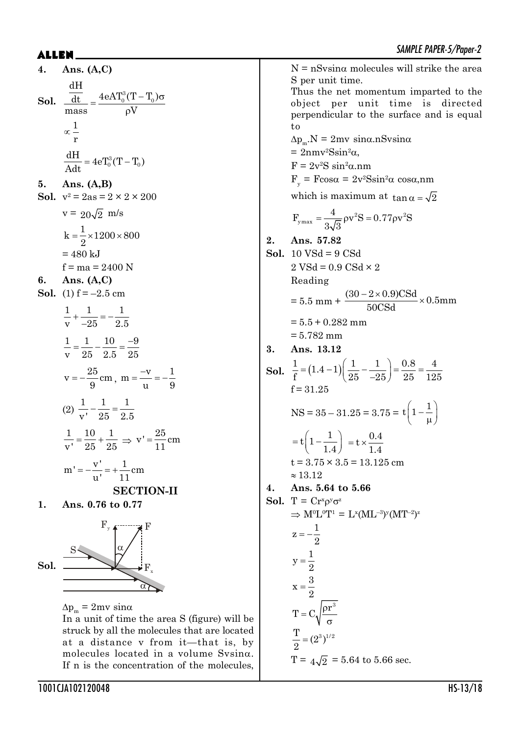$N = nS \sin\alpha$  molecules will strike the area

Thus the net momentum imparted to the object per unit time is directed perpendicular to the surface and is equal

S per unit time.

**4. Ans. (A,C) Sol.**  $\overline{\frac{dt}{d t}} = \frac{4eAT_0^3(T-T_0)\sigma}{lT}$  $\rho$ 3 0 0 dt 4eAT (T T ) dH mass  $\rho V$ 1 r  $\infty$  $\frac{dH}{dt} = 4eT_0^3(T - T_0)$ Adt  $=4eT_0^3(T-$ **5. Ans. (A,B) Sol.**  $v^2 = 2as = 2 \times 2 \times 200$  $v = 20\sqrt{2}$  m/s  $k = \frac{1}{2} \times 1200 \times 800$ 2  $=\frac{1}{2}\times1200\times8$  $= 480$  kJ  $f = ma = 2400 N$ **6. Ans. (A,C) Sol.** (1)  $f = -2.5$  cm  $1 \quad 1 \quad 1$  $v \t -25 \t 2.5$  $+\frac{1}{2}= \overline{a}$ 1 1 10 9 v 25 2.5 25  $=\frac{1}{\sqrt{2}}-\frac{10}{\sqrt{2}}=\frac{-}{\sqrt{2}}$  $v = -\frac{25}{3}$ cm  $=-\frac{25}{9}$  cm, m =  $\frac{-v}{u}$  =  $-\frac{1}{9}$ u 9  $=\frac{-v}{-}=-$ (2) 11 1 v' 25 2.5  $-\frac{1}{2}$  = - $1 \t 10 \t 1$  $\frac{1}{v} = \frac{10}{25} + \frac{1}{25} \implies v' = \frac{25}{11}$ cm 11  $=$  $m' = -\frac{v'}{v} = +\frac{1}{10}cm$ u' 11  $=-\frac{v}{\cdot}$  = + **SECTION-II 1. Ans. 0.76 to 0.77 Sol.**  $\alpha$  $S \sim \alpha$  $F_{y}$  find  $F$  $F_{x}$  $\Delta p_{m} = 2mv \sin\alpha$ In a unit of time the area S (figure) will be struck by all the molecules that are located at a distance v from it—that is, by molecules located in a volume  $Svsin\alpha$ .

If n is the concentration of the molecules, to  $\Delta p_{m}$ . $N = 2mv \sin\alpha \text{.}nSv\sin\alpha$  $= 2$ nmv<sup>2</sup>Ssin<sup>2</sup> $\alpha$ ,  $F = 2v^2S \sin^2\alpha$ .nm  $F_y = F \cos \alpha = 2v^2 S \sin^2 \alpha \cos \alpha$ ,nm which is maximum at  $\tan \alpha = \sqrt{2}$  $v_{\text{max}} = \frac{4}{2\sqrt{2}} \rho v^2 S = 0.77 \rho v^2$  $F_{\text{max}} = \frac{4}{\sqrt{2}} \rho v^2 S = 0.77 \rho v^2 S$  $3\sqrt{3}$  $=-\frac{1}{\sqrt{2}} \rho v^2 S = 0.77 \rho$ **2. Ans. 57.82 Sol.** 10 VSd = 9 CSd  $2 \text{ VSd} = 0.9 \text{ CSd} \times 2$ Reading  $= 5.5$  mm +  $\frac{(30 - 2 \times 0.9) \text{CSd}}{5000 \text{ J}} \times 0.5$ mm 50CSd  $\frac{-2 \times 0.9}{\times 0.001} \times$  $= 5.5 + 0.282$  mm  $= 5.782$  mm **3. Ans. 13.12 Sol.**  $\frac{1}{5} = (1.4 - 1) \left( \frac{1}{25} - \frac{1}{25} \right) = \frac{0.8}{25} = \frac{4}{19}$  $f^{(1)}$   $(25 -25)$  25 125  $=(1.4-1)\left(\frac{1}{25}-\frac{1}{-25}\right)=$  $f = 31.25$  $NS = 35 - 31.25 = 3.75 = t \left(1 - \frac{1}{\mu}\right)$  $t\left(1-\frac{1}{t}\right)$ 1.4  $= t \left(1 - \frac{1}{1.4}\right) = t \times \frac{0.4}{1.4}$ 1.4  $=$  t  $\times$  $t = 3.75 \times 3.5 = 13.125$  cm  $\approx 13.12$ **4. Ans. 5.64 to 5.66 Sol.**  $T = Cr^{x} \rho^{y} \sigma^{z}$  $\Rightarrow$  M<sup>0</sup>L<sup>0</sup>T<sup>1</sup> = L<sup>x</sup>(ML<sup>-3</sup>)<sup>y</sup>(MT<sup>-2</sup>)<sup>z</sup>  $z = -\frac{1}{2}$ 2  $=$   $$  $y = \frac{1}{2}$ 2  $=$  $x=\frac{3}{3}$ 2  $=$  $T = C_1 \sqrt{\frac{\rho r^3}{}}$  $\sigma$  $\frac{T}{2} = (2^3)^{1/2}$ 2  $=$ T =  $4\sqrt{2}$  = 5.64 to 5.66 sec.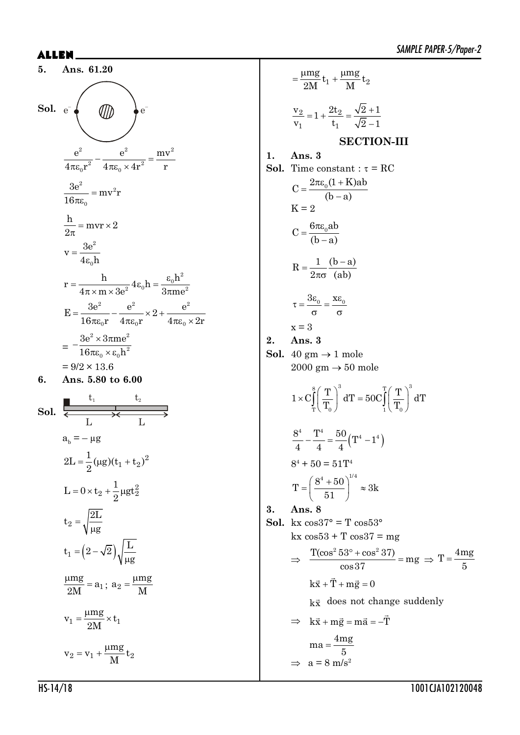5. Ans. 61.20  
\nSol. 
$$
e^{-}\left(\frac{e^{2}}{4\pi\epsilon_{0}r^{2}} - \frac{e^{2}}{4\pi\epsilon_{0} \times 4r^{2}} = \frac{mv^{2}}{r}\right)
$$
  
\n
$$
\frac{3e^{2}}{4\pi\epsilon_{0}r^{2}} = mv^{2}r
$$
\n
$$
\frac{h}{2\pi} = mv \times 2
$$
\n
$$
v = \frac{3e^{2}}{4\epsilon_{0}h}
$$
\n
$$
r = \frac{h}{4\pi \times m \times 3e^{2}} 4\epsilon_{0}h = \frac{\epsilon_{0}h^{2}}{3\pi me^{2}}
$$
\n
$$
E = \frac{3e^{2}}{16\pi\epsilon_{0}r} - \frac{e^{2}}{4\pi\epsilon_{0}r} \times 2 + \frac{e^{2}}{4\pi\epsilon_{0} \times 2r}
$$
\n
$$
= -\frac{3e^{2} \times 3\pi me^{2}}{16\pi\epsilon_{0} \times \epsilon_{0}h^{2}}
$$
\n
$$
= 9/2 \times 13.6
$$
\n6. Ans. 5.80 to 6.00  
\nSol.  $\frac{t_{1}}{\epsilon_{0}r} = -\mu g$ 

 $=\frac{1}{2}(\mu g)(t_1+t_2)^2$  $2L = \frac{1}{2}(\mu g)(t_1 + t_2)$ 

 $2 + \frac{1}{2} \mu g t_2^2$ 

g

M  $=\frac{\mu}{2}$ 

 $\mu$ 

2

2

 $t_2 = \sqrt{\frac{2L}{m}}$ 

 $=$  $\mu$ 

 $L = 0 \times t_2 + \frac{1}{2} \mu gt$ 

 $= 0 \times t_2 + \frac{1}{2} \mu$ 

g

1

 $1 = \frac{1}{2M} \times 1$  $v_1 = \frac{\mu mg}{g} \times t$ 2M  $=\frac{\mu mg}{2\pi\hbar}\times$ 

 $= v_1 + \frac{\mu}{2}$ 

 $2 = v_1 + \frac{1}{M}v_2$  $v_2 = v_1 + \frac{\mu mg}{2\pi}t$ 

M

 $\frac{\mu mg}{gM} = a_1$ ;  $a_2 = \frac{\mu mg}{M}$ 

 $a_1 = (2 - \sqrt{2})$  $t_1 = (2 - \sqrt{2}) \sqrt{\frac{L}{2}}$ 

 $= (2 -$ 

 $\frac{mg}{dt} = a$ 2M

 $2 - 1 + 4^{2k}2$  $\mathfrak{t}_1$   $\mathfrak{t}_1$  $\frac{v_2}{2} = 1 + \frac{2t_2}{2} = \frac{\sqrt{2}+1}{2}$  $v_1$   $t_1$   $\sqrt{2} - 1$  $=1+\frac{2t_2}{t}=\frac{\sqrt{2}+t_1}{t}$  $\overline{a}$ **SECTION-III 1. Ans. 3 Sol.** Time constant :  $\tau = \text{RC}$  $C = \frac{2\pi\epsilon_0(1 + K)ab}{2}$  $(b - a)$  $=\frac{2\pi\epsilon_0(1+1)}{2}$  $\overline{a}$  $K = 2$  $C = \frac{6\pi\epsilon_0 ab}{a}$  $(b - a)$  $=\frac{6\pi\varepsilon}{2}$  $\overline{a}$  $R = \frac{1}{1} \frac{(b-a)}{(b-a)}$  $2\pi\sigma$  (ab)  $=\frac{1}{1}$  (b –  $\pi$ o  $\tau = \frac{3\epsilon_0}{\tau} = \frac{x\epsilon_0}{\tau}$  $\sigma$   $\sigma$  $x = 3$ **2. Ans. 3 Sol.** 40 gm  $\rightarrow$  1 mole  $2000 \text{ gm} \rightarrow 50 \text{ mole}$  $\frac{8}{\pi}$   $\frac{3}{\pi}$   $\frac{T}{\pi}$   $\frac{3}{3}$  $T \setminus \begin{array}{c} \textbf{I} \setminus \end{array}$   $\begin{array}{c} \textbf{I} \setminus \end{array}$   $\begin{array}{c} \textbf{I} \setminus \end{array}$  $1 \times C \left( \frac{T}{T} \right)^5 dT = 50 C \left( \frac{T}{T} \right)^5 dT$  $T_0$   $T_1$   $T_2$  $\times C_\text{T}^\text{8}\left(\frac{\text{T}}{\text{T}_0}\right)^\circ\text{d}\text{T} = 50 C_\text{T}^\text{T}\left(\frac{\text{T}}{\text{T}_0}\right)$  $\frac{8^4}{4} - \frac{T^4}{4} = \frac{50}{4} (T^4 - 1^4)$ 444  $-\frac{1}{\cdot}=\frac{00}{\cdot}(T^4 8^4 + 50 = 51$ T<sup>4</sup>  $T = \left(\frac{8^4 + 50}{7}\right)^{1/4} \approx 3k$ 51  $=\left(\frac{8^4+50}{51}\right)^{1/4}\approx$ **3. Ans. 8 Sol.** kx  $\cos 37^\circ = T \cos 53^\circ$  $kx \cos 53 + T \cos 37 = mg$  $\Rightarrow \frac{\text{T}(\cos^2 53^\circ + \cos^2 37)}{\text{or}} = \text{mg}$ cos37  $\frac{\textdegree + \cos^2 37)}{\textdegree - \cos^2 37}$  = mg  $\Rightarrow$  T =  $\frac{4mg}{5}$ 5  $=$  $k\vec{x} + \vec{T} + m\vec{g} = 0$  $k\vec{x}$  does not change suddenly  $\Rightarrow$  k $\vec{x}$  + m $\vec{g}$  = m $\vec{a}$  = -T  $ma = \frac{4mg}{a}$ 5  $=$  $\Rightarrow$  a = 8 m/s<sup>2</sup>

 $v_1$  +  $\frac{1}{\sqrt{1}}$   $v_2$  $\frac{mg}{dt}t_1 + \frac{\mu mg}{dt}t_1$  $2M$   $\sim$   $1 \cdot M$  $=\frac{\mu mg}{m^2}t_1+\frac{\mu r}{r^2}$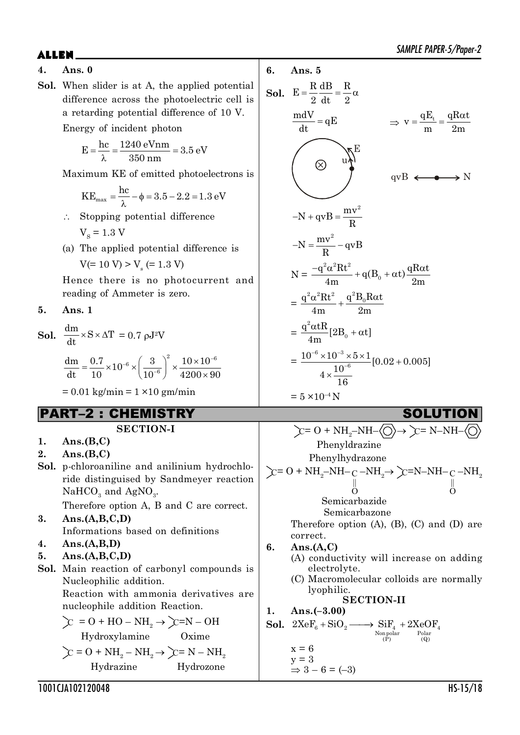### **4. Ans. 0**

**Sol.** When slider is at A, the applied potential difference across the photoelectric cell is a retarding potential difference of 10 V.

Energy of incident photon

$$
E = \frac{hc}{\lambda} = \frac{1240 \text{ eVnm}}{350 \text{ nm}} = 3.5 \text{ eV}
$$

Maximum KE of emitted photoelectrons is

$$
KE_{\text{max}} = \frac{hc}{\lambda} - \phi = 3.5 - 2.2 = 1.3 \text{ eV}
$$

- $\therefore$  Stopping potential difference  $V<sub>s</sub> = 1.3 V$
- (a) The applied potential difference is  $V(= 10 V) > V<sub>s</sub> (= 1.3 V)$

Hence there is no photocurrent and reading of Ammeter is zero.

**5. Ans. 1**

**Sol.**  $\frac{dm}{dt} \times S \times \Delta T = 0.7 \text{ pJ}^2 V$  $\frac{1}{6}$  ( 3 )<sup>2</sup>  $\frac{10 \times 10^{-6}}{10}$  $\frac{dm}{dt} = \frac{0.7}{10} \times 10^{-6} \times \left(\frac{3}{10^{-6}}\right)^2 \times \frac{10 \times 10}{4900 \times 10^{10}}$  $-6(3)^2(10\times10^{-7})$  $=\frac{0.7}{10}\times10^{-6}\times\left(\frac{3}{10^{-6}}\right)^2\times\frac{10\times10}{4200\times10^{10}}$ 

 $= 0.01$  kg/min  $= 1 \times 10$  gm/min

## PART–2 : CHEMISTRY SOLUTION

### **SECTION-I**

dt 10  $(10^{-6})$   $4200 \times 90$ 

-

- **1. Ans.(B,C)**
- **2. Ans.(B,C)**
- **Sol.** p-chloroaniline and anilinium hydrochloride distinguised by Sandmeyer reaction  $\mathrm{NaHCO}_{_{3}}$  and  $\mathrm{AgNO}_{_{3}}$ .

Therefore option A, B and C are correct.

- **3. Ans.(A,B,C,D)** Informations based on definitions
- **4. Ans.(A,B,D)**
- **5. Ans.(A,B,C,D)**

**Sol.** Main reaction of carbonyl compounds is Nucleophilic addition.

Reaction with ammonia derivatives are nucleophile addition Reaction.

$$
\sum_{i=0}^{\infty} = 0 + HO - NH_2 \rightarrow \sum_{i=0}^{\infty} = N - OH
$$
  
Hydroxylamine  
Oxime  

$$
\sum_{i=0}^{\infty} = 0 + NH - NH \rightarrow \sum_{i=0}^{\infty} = N - NH
$$

 $\text{C} = \text{O} + \text{NH}_2 - \text{NH}_2 \rightarrow \text{C} = \text{N} - \text{NH}_2$ Hydrazine Hydrozone



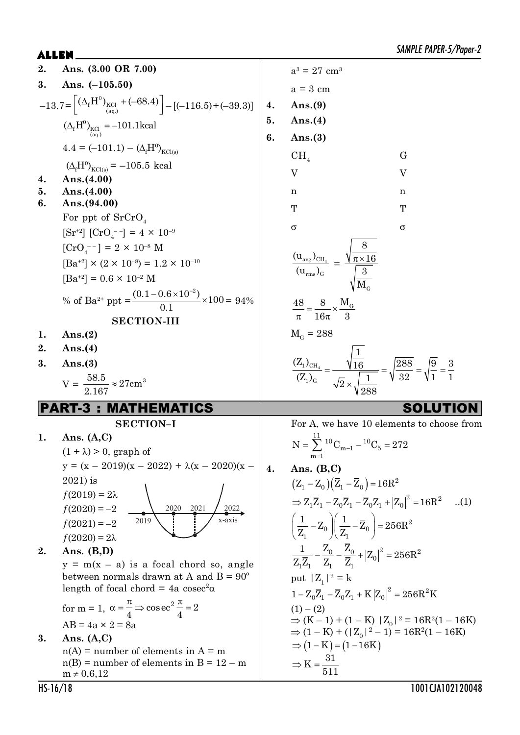2. Ans. (3.00 OR 7.00)  
\n3. Ans. (-105.50)  
\n-13.7=
$$
\left[\frac{(\Delta_r H^0)_{\text{tot}}_{\text{tot}} + (-68.4) \right]
$$
 - $[-(-116.5) + (-39.3)]$   
\n(A, H<sup>1</sup>)<sub>det</sub>  
\n(A, H<sup>1</sup>)<sub>det</sub>  
\n(A, H<sup>1</sup>)<sub>det</sub>  
\n(A, H<sup>2</sup>)<sub>det</sub>  
\n(A, H<sup>3</sup>)<sub>det</sub>  
\n(A, H<sup>4</sup>)<sub>det</sub>  
\n(A, H<sup>5</sup>)<sub>det</sub>  
\n(A, H<sup>6</sup>)<sub>det</sub>  
\n(A, H<sup>7</sup>)<sub>det</sub>  
\n(A, H<sup>8</sup>)<sub>det</sub>  
\n(A, H<sup>9</sup>)<sub>det</sub>  
\n(A, H<sup>1</sup>)<sub>det</sub>  
\n(A, H<sup>1</sup>)<sub>det</sub>  
\n(A, H<sup>1</sup>)<sub>det</sub>  
\n(A, H<sup>1</sup>)<sub>det</sub>  
\n(A, H<sup>1</sup>)<sub>det</sub>  
\n(A, H<sup>1</sup>)<sub>det</sub>  
\n(A, H<sup>1</sup>)<sub>det</sub>  
\n(A, H<sup>1</sup>)<sub>det</sub>  
\n(A, H<sup>1</sup>)<sub>det</sub>  
\n(A, H<sup>1</sup>)<sub>det</sub>  
\n(A, H<sup>1</sup>)<sub>det</sub>  
\n(A, H<sup>1</sup>)<sub>det</sub>  
\n(A, H<sup>2</sup>)<sub>det</sub>  
\n(A, H<sup>3</sup>)<sub>det</sub>  
\n(A, H<sup>4</sup>)<sub>det</sub>  
\n(Bn<sup>2</sup>)<sub>1</sub>  $\times$  10<sup>4</sup> - 14  $\times$  10<sup>-10</sup>  
\n(A, H<sup>1</sup>)<sub>det</sub>  
\n(Bn<sup>2</sup>)<sub>1</sub>  $\times$  10<sup>-6</sup><sub>10<sup>-8</sup></sub>  
\n(A, H<sup>1</sup>)<sub>10<</sub>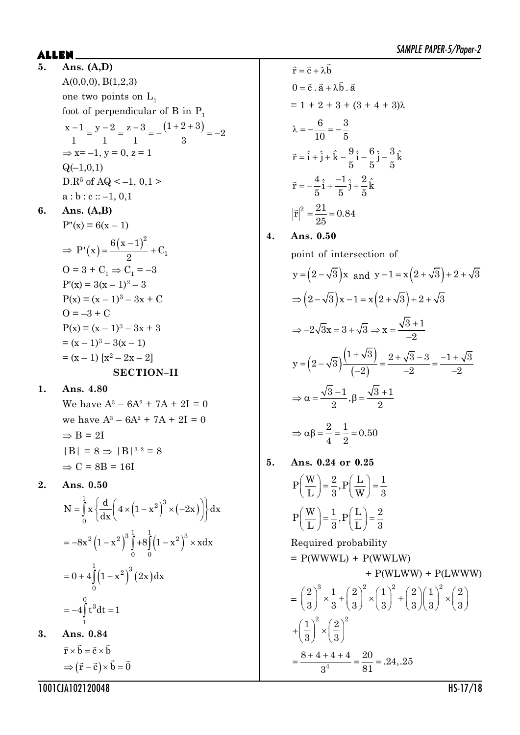$\mathsf{ALLEN}$   $\blacksquare$ **5. Ans. (A,D)**  $A(0,0,0), B(1,2,3)$ one two points on  $L_1$ foot of perpendicular of B in  $P_1$  $\frac{x-1}{1} = \frac{y-2}{2} = \frac{z-3}{3} = -\frac{(1+2+3)}{3} = -2$ 1 1 1 3  $\Rightarrow$  x= -1, y = 0, z = 1  $Q(-1,0,1)$  $D.R^5$  of AQ < -1, 0,1 >  $a : b : c :: -1, 0, 1$ **6. Ans. (A,B)**  $P''(x) = 6(x - 1)$  $\Rightarrow P'(x) = \frac{6(x-1)^2}{2} +$ 2 1  $6(x - 1)$  $P'(x) = \frac{O(x^2 + 1)}{2} + C$ 2  $O = 3 + C_1 \Rightarrow C_1 = -3$  $P'(x) = 3(x - 1)^2 - 3$  $P(x) = (x - 1)^3 - 3x + C$  $Q = -3 + C$  $P(x) = (x - 1)^3 - 3x + 3$  $=(x-1)^3-3(x-1)$  $=(x-1) [x^2 - 2x - 2]$ **SECTION–II**

**1. Ans. 4.80**

We have  $A^3 - 6A^2 + 7A + 2I = 0$ we have  $A^3 - 6A^2 + 7A + 2I = 0$  $\Rightarrow$  B = 2I  $|B| = 8 \implies |B|^{3-2} = 8$  $\Rightarrow$  C = 8B = 16I

**2. Ans. 0.50**

$$
N = \int_{0}^{1} x \left\{ \frac{d}{dx} \left( 4 \times (1 - x^{2})^{3} \times (-2x) \right) \right\} dx
$$
  
= -8x<sup>2</sup> (1 - x<sup>2</sup>)<sup>3</sup>  $\int_{0}^{1} + 8 \int_{0}^{1} (1 - x^{2})^{3} \times x dx$   
= 0 + 4 $\int_{0}^{1} (1 - x^{2})^{3} (2x) dx$   
= -4 $\int_{1}^{0} t^{3} dt = 1$ 

**3. Ans. 0.84**  $\vec{r} \times \vec{b} = \vec{c} \times \vec{b}$  $\Rightarrow (\vec{r} - \vec{c}) \times \vec{b} = \vec{0}$ 

 $\vec{r} = \vec{c} + \lambda \vec{b}$  $0 = \vec{c} \cdot \vec{a} + \lambda \vec{b} \cdot \vec{a}$  $= 1 + 2 + 3 + (3 + 4 + 3)\lambda$  $\lambda = -\frac{6}{10} = -\frac{3}{5}$ 10 5  $\vec{r} = \hat{i} + \hat{j} + \hat{k} - \frac{9}{5}\hat{i} - \frac{6}{5}\hat{j} - \frac{3}{5}\hat{k}$  $5\degree 5\degree 5$  $\vec{r} = -\frac{4}{3}\hat{i} + \frac{-1}{5}\hat{j} + \frac{2}{5}\hat{k}$ 5 5 5  $|\vec{r}|^2 = \frac{21}{25} = 0.84$ 25

**4. Ans. 0.50**

point of intersection of

$$
y = (2 - \sqrt{3})x \text{ and } y - 1 = x(2 + \sqrt{3}) + 2 + \sqrt{3}
$$
  
\n
$$
\Rightarrow (2 - \sqrt{3})x - 1 = x(2 + \sqrt{3}) + 2 + \sqrt{3}
$$
  
\n
$$
\Rightarrow -2\sqrt{3}x = 3 + \sqrt{3} \Rightarrow x = \frac{\sqrt{3} + 1}{-2}
$$
  
\n
$$
y = (2 - \sqrt{3})\frac{(1 + \sqrt{3})}{(-2)} = \frac{2 + \sqrt{3} - 3}{-2} = \frac{-1 + \sqrt{3}}{-2}
$$
  
\n
$$
\Rightarrow \alpha = \frac{\sqrt{3} - 1}{2}, \beta = \frac{\sqrt{3} + 1}{2}
$$
  
\n
$$
\Rightarrow \alpha\beta = \frac{2}{4} = \frac{1}{2} = 0.50
$$

**5. Ans. 0.24 or 0.25**  $(\overline{W})$   $\alpha$  $(\top)$  1

$$
P\left(\frac{W}{L}\right) = \frac{2}{3}, P\left(\frac{L}{W}\right) = \frac{1}{3}
$$

$$
P\left(\frac{W}{L}\right) = \frac{1}{3}, P\left(\frac{L}{L}\right) = \frac{2}{3}
$$

Required probability  $=$  P(WWWL) + P(WWLW) + P(WLWW) + P(LWWW) =  $\left(\frac{2}{3}\right)^{\circ}\times\frac{1}{3}+\left(\frac{2}{3}\right)^{\circ}\times\left(\frac{1}{3}\right)^{\circ}+\left(\frac{2}{3}\right)\left(\frac{1}{3}\right)^{\circ}\times\left(\frac{2}{3}\right)$  $2\Big)^3$  1  $(2)^2$   $(1)^2$   $(2)(1)^2$   $(2)$  $3^{3}$  3  $3^{3}$  33  $3^{3}$  33 33 33  $+\left(\frac{1}{3}\right)^2 \times \left(\frac{2}{3}\right)$  $1$ <sup>2</sup>  $(2)^2$  $3)$   $(3)$  $=\frac{8+4+4+4}{2^4}=\frac{20}{81}=.24,.25$  $3^4$  81